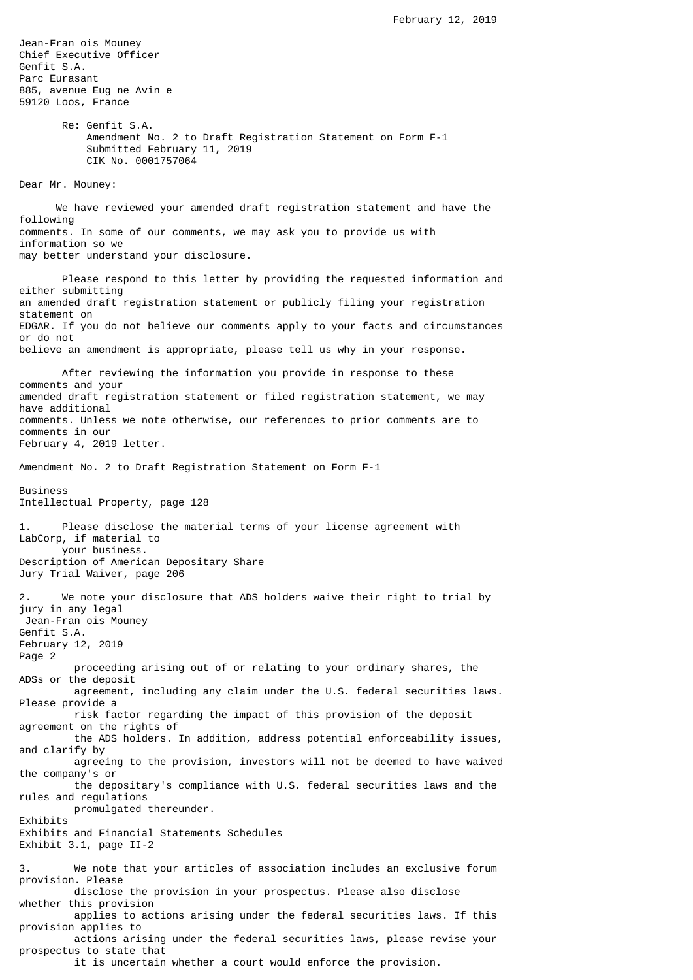Jean-Fran ois Mouney Chief Executive Officer Genfit S.A. Parc Eurasant 885, avenue Eug ne Avin e 59120 Loos, France Re: Genfit S.A. Amendment No. 2 to Draft Registration Statement on Form F-1 Submitted February 11, 2019 CIK No. 0001757064 Dear Mr. Mouney: We have reviewed your amended draft registration statement and have the following comments. In some of our comments, we may ask you to provide us with information so we may better understand your disclosure. Please respond to this letter by providing the requested information and either submitting an amended draft registration statement or publicly filing your registration statement on EDGAR. If you do not believe our comments apply to your facts and circumstances or do not believe an amendment is appropriate, please tell us why in your response. After reviewing the information you provide in response to these comments and your amended draft registration statement or filed registration statement, we may have additional comments. Unless we note otherwise, our references to prior comments are to comments in our February 4, 2019 letter. Amendment No. 2 to Draft Registration Statement on Form F-1 Business Intellectual Property, page 128 1. Please disclose the material terms of your license agreement with LabCorp, if material to your business. Description of American Depositary Share Jury Trial Waiver, page 206 2. We note your disclosure that ADS holders waive their right to trial by jury in any legal Jean-Fran ois Mouney Genfit S.A. February 12, 2019 Page 2 proceeding arising out of or relating to your ordinary shares, the ADSs or the deposit agreement, including any claim under the U.S. federal securities laws. Please provide a risk factor regarding the impact of this provision of the deposit agreement on the rights of the ADS holders. In addition, address potential enforceability issues, and clarify by agreeing to the provision, investors will not be deemed to have waived the company's or the depositary's compliance with U.S. federal securities laws and the rules and regulations promulgated thereunder. Exhibits Exhibits and Financial Statements Schedules Exhibit 3.1, page II-2 We note that your articles of association includes an exclusive forum provision. Please disclose the provision in your prospectus. Please also disclose whether this provision applies to actions arising under the federal securities laws. If this provision applies to actions arising under the federal securities laws, please revise your prospectus to state that it is uncertain whether a court would enforce the provision.